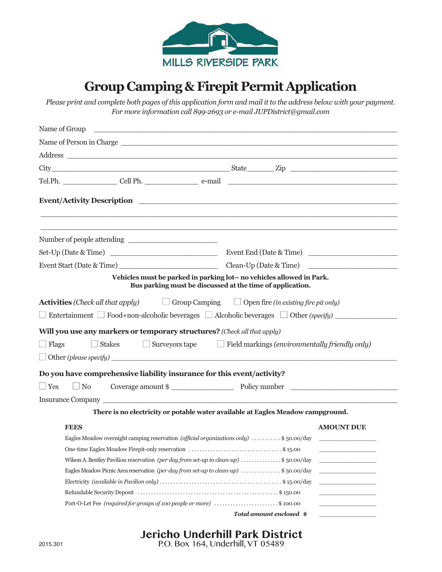

## **Group Camping&Firepit Permit Application**

Please print and complete both pages of this application form and mail it to the address below with your payment. *For more information call 899-2693 or e-mail JUPDistrict@gmail.com*

| Name of Group                                                                                                                      |                                                                                       |
|------------------------------------------------------------------------------------------------------------------------------------|---------------------------------------------------------------------------------------|
| Name of Person in Charge                                                                                                           |                                                                                       |
|                                                                                                                                    |                                                                                       |
|                                                                                                                                    |                                                                                       |
|                                                                                                                                    |                                                                                       |
|                                                                                                                                    |                                                                                       |
|                                                                                                                                    |                                                                                       |
| Set-Up (Date & Time)                                                                                                               | Event End (Date & Time)                                                               |
|                                                                                                                                    | Clean-Up (Date & Time)                                                                |
| Vehicles must be parked in parking lot-- no vehicles allowed in Park.<br>Bus parking must be discussed at the time of application. |                                                                                       |
| <b>Activities</b> (Check all that apply) $\Box$ Group Camping $\Box$ Open fire (in existing fire pit only)                         |                                                                                       |
| $\Box$ Entertainment $\Box$ Food+non-alcoholic beverages $\Box$ Alcoholic beverages $\Box$ Other (specify)                         |                                                                                       |
| Will you use any markers or temporary structures? (Check all that apply)<br>$\Box$ Flags<br>$\Box$ Stakes                          | $\Box$ Surveyors tape $\Box$ Field markings (environmentally friendly only)           |
| $\Box$ Other (please specify) $\Box$                                                                                               |                                                                                       |
| Do you have comprehensive liability insurance for this event/activity?                                                             |                                                                                       |
| $\Box$ Yes<br>$\Box$ No                                                                                                            | Coverage amount \$                                                                    |
|                                                                                                                                    |                                                                                       |
|                                                                                                                                    | There is no electricity or potable water available at Eagles Meadow campground.       |
| <b>FEES</b>                                                                                                                        | <b>AMOUNT DUE</b>                                                                     |
|                                                                                                                                    | Eagles Meadow overnight camping reservation (official organizations only) \$50.00/day |
|                                                                                                                                    |                                                                                       |
| Wilson A. Bentley Pavilion reservation (per day from set-up to clean-up) \$50.00/day                                               | <u> 1950 - Johann Barbara, martx</u>                                                  |
| Eagles Meadow Picnic Area reservation (per day from set-up to clean-up) \$50.00/day                                                | and the state of the state of the                                                     |
|                                                                                                                                    | <u> 1950 - Johann John Barnson, mark</u>                                              |
|                                                                                                                                    |                                                                                       |
| Port-O-Let Fee (required for groups of 100 people or more) \$100.00                                                                |                                                                                       |
|                                                                                                                                    | Total amount enclosed \$                                                              |